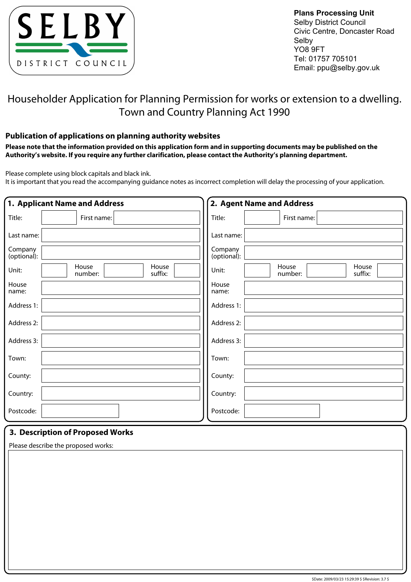

**Plans Processing Unit** Selby District Council Civic Centre, Doncaster Road Selby YO8 9FT Tel: 01757 705101 Email: ppu@selby.gov.uk

# Householder Application for Planning Permission for works or extension to a dwelling. Town and Country Planning Act 1990

### **Publication of applications on planning authority websites**

**Please note that the information provided on this application form and in supporting documents may be published on the Authority's website. If you require any further clarification, please contact the Authority's planning department.**

Please complete using block capitals and black ink.

It is important that you read the accompanying quidance notes as incorrect completion will delay the processing of your application.

|                        | 1. Applicant Name and Address        | 2. Agent Name and Address                     |
|------------------------|--------------------------------------|-----------------------------------------------|
| Title:                 | First name:                          | Title:<br>First name:                         |
| Last name:             |                                      | Last name:                                    |
| Company<br>(optional): |                                      | Company<br>(optional):                        |
| Unit:                  | House<br>House<br>suffix:<br>number: | House<br>House<br>Unit:<br>number:<br>suffix: |
| House<br>name:         |                                      | House<br>name:                                |
| Address 1:             |                                      | Address 1:                                    |
| Address 2:             |                                      | Address 2:                                    |
| Address 3:             |                                      | Address 3:                                    |
| Town:                  |                                      | Town:                                         |
| County:                |                                      | County:                                       |
| Country:               |                                      | Country:                                      |
| Postcode:              |                                      | Postcode:                                     |
|                        | 3. Description of Proposed Works     |                                               |

Please describe the proposed works: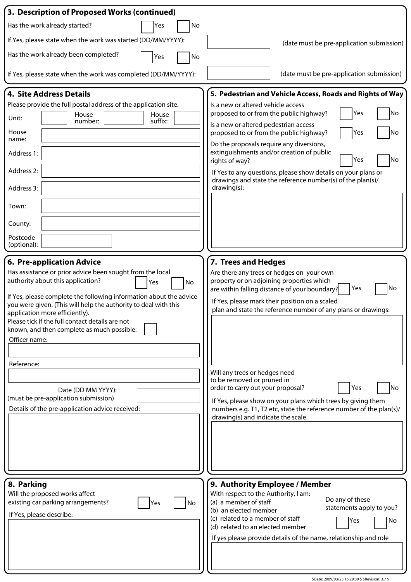| 3. Description of Proposed Works (continued)                                                                                                                                                                                                                                              |                                                                                                                                                                               |
|-------------------------------------------------------------------------------------------------------------------------------------------------------------------------------------------------------------------------------------------------------------------------------------------|-------------------------------------------------------------------------------------------------------------------------------------------------------------------------------|
| Has the work already started?<br>No<br>Yes                                                                                                                                                                                                                                                |                                                                                                                                                                               |
| If Yes, please state when the work was started (DD/MM/YYYY):                                                                                                                                                                                                                              | (date must be pre-application submission)                                                                                                                                     |
| Has the work already been completed?<br>Yes<br>No                                                                                                                                                                                                                                         |                                                                                                                                                                               |
| If Yes, please state when the work was completed (DD/MM/YYYY):                                                                                                                                                                                                                            | (date must be pre-application submission)                                                                                                                                     |
| 4. Site Address Details                                                                                                                                                                                                                                                                   | 5. Pedestrian and Vehicle Access, Roads and Rights of Way                                                                                                                     |
| Please provide the full postal address of the application site.                                                                                                                                                                                                                           | Is a new or altered vehicle access                                                                                                                                            |
| House<br>House<br>Unit:<br>suffix:<br>number:                                                                                                                                                                                                                                             | No<br>proposed to or from the public highway?<br>Yes                                                                                                                          |
| House<br>name:                                                                                                                                                                                                                                                                            | Is a new or altered pedestrian access<br>No<br>proposed to or from the public highway?<br>Yes<br>Do the proposals require any diversions,                                     |
| Address 1:                                                                                                                                                                                                                                                                                | extinguishments and/or creation of public<br>No<br>Yes<br>rights of way?                                                                                                      |
| Address 2:                                                                                                                                                                                                                                                                                | If Yes to any questions, please show details on your plans or<br>drawings and state the reference number(s) of the plan(s)/                                                   |
| Address 3:                                                                                                                                                                                                                                                                                | drawing(s):                                                                                                                                                                   |
| Town:                                                                                                                                                                                                                                                                                     |                                                                                                                                                                               |
| County:                                                                                                                                                                                                                                                                                   |                                                                                                                                                                               |
| Postcode<br>(optional):                                                                                                                                                                                                                                                                   |                                                                                                                                                                               |
| 6. Pre-application Advice                                                                                                                                                                                                                                                                 | 7. Trees and Hedges                                                                                                                                                           |
| Has assistance or prior advice been sought from the local<br>authority about this application?<br>No<br>Yes                                                                                                                                                                               | Are there any trees or hedges on your own<br>property or on adjoining properties which                                                                                        |
| If Yes, please complete the following information about the advice<br>you were given. (This will help the authority to deal with this<br>application more efficiently).<br>Please tick if the full contact details are not<br>known, and then complete as much possible:<br>Officer name: | Yes<br>No<br>are within falling distance of your boundary?<br>If Yes, please mark their position on a scaled<br>plan and state the reference number of any plans or drawings: |
| Reference:                                                                                                                                                                                                                                                                                |                                                                                                                                                                               |
|                                                                                                                                                                                                                                                                                           | Will any trees or hedges need<br>to be removed or pruned in                                                                                                                   |
| Date (DD MM YYYY):                                                                                                                                                                                                                                                                        | No<br>order to carry out your proposal?<br>Yes                                                                                                                                |
| (must be pre-application submission)<br>Details of the pre-application advice received:                                                                                                                                                                                                   | If Yes, please show on your plans which trees by giving them<br>numbers e.g. T1, T2 etc, state the reference number of the plan(s)/                                           |
|                                                                                                                                                                                                                                                                                           | drawing(s) and indicate the scale.                                                                                                                                            |
| 8. Parking                                                                                                                                                                                                                                                                                | 9. Authority Employee / Member                                                                                                                                                |
| Will the proposed works affect<br>existing car parking arrangements?<br>No<br>Yes                                                                                                                                                                                                         | With respect to the Authority, I am:<br>Do any of these<br>(a) a member of staff                                                                                              |
| If Yes, please describe:                                                                                                                                                                                                                                                                  | statements apply to you?<br>(b) an elected member                                                                                                                             |
|                                                                                                                                                                                                                                                                                           | (c) related to a member of staff<br>Yes<br>No<br>(d) related to an elected member                                                                                             |
|                                                                                                                                                                                                                                                                                           | If yes please provide details of the name, relationship and role                                                                                                              |
|                                                                                                                                                                                                                                                                                           |                                                                                                                                                                               |
|                                                                                                                                                                                                                                                                                           |                                                                                                                                                                               |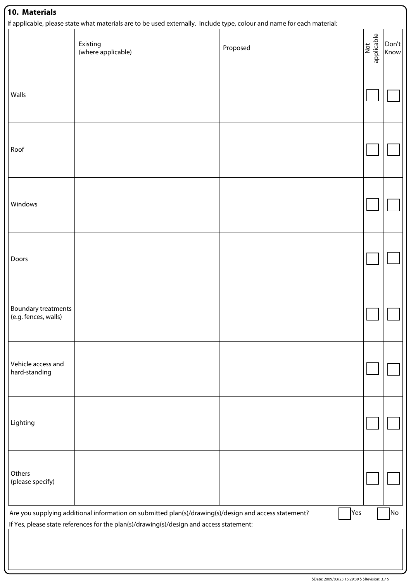|                                                    | Existing<br>(where applicable)                                                          | Proposed                                                                                              | applicable<br>$\overline{\mathsf{R}}$ | Don't<br>Know |
|----------------------------------------------------|-----------------------------------------------------------------------------------------|-------------------------------------------------------------------------------------------------------|---------------------------------------|---------------|
| Walls                                              |                                                                                         |                                                                                                       |                                       |               |
| Roof                                               |                                                                                         |                                                                                                       |                                       |               |
| Windows                                            |                                                                                         |                                                                                                       |                                       |               |
| Doors                                              |                                                                                         |                                                                                                       |                                       |               |
| <b>Boundary treatments</b><br>(e.g. fences, walls) |                                                                                         |                                                                                                       |                                       |               |
| Vehicle access and<br>hard-standing                |                                                                                         |                                                                                                       |                                       |               |
| Lighting                                           |                                                                                         |                                                                                                       |                                       |               |
| Others<br>(please specify)                         |                                                                                         |                                                                                                       |                                       |               |
|                                                    | If Yes, please state references for the plan(s)/drawing(s)/design and access statement: | Are you supplying additional information on submitted plan(s)/drawing(s)/design and access statement? | Yes                                   | No            |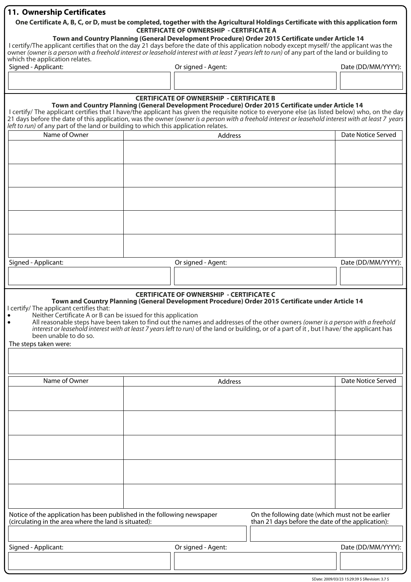## **11. Ownership Certificates**

#### **One Certificate A, B, C, or D, must be completed, together with the Agricultural Holdings Certificate with this application form CERTIFICATE OF OWNERSHIP - CERTIFICATE A**

#### **Town and Country Planning (General Development Procedure) Order 2015 Certificate under Article 14**

I certify/The applicant certifies that on the day 21 days before the date of this application nobody except myself/ the applicant was the owner (owner is a person with a freehold interest or leasehold interest with at least 7 years left to run) of any part of the land or building to which the application relates.

| Signed - Applicant: | Or signed - Agent: | Date (DD/MM/YYYY): |  |
|---------------------|--------------------|--------------------|--|
|                     |                    |                    |  |
|                     |                    |                    |  |

| left to run) of any part of the land or building to which this application relates.                                                | <b>CERTIFICATE OF OWNERSHIP - CERTIFICATE B</b><br>Town and Country Planning (General Development Procedure) Order 2015 Certificate under Article 14<br>I certify/ The applicant certifies that I have/the applicant has given the requisite notice to everyone else (as listed below) who, on the day<br>21 days before the date of this application, was the owner (owner is a person with a freehold interest or leasehold interest with at least 7 years |                    |
|------------------------------------------------------------------------------------------------------------------------------------|--------------------------------------------------------------------------------------------------------------------------------------------------------------------------------------------------------------------------------------------------------------------------------------------------------------------------------------------------------------------------------------------------------------------------------------------------------------|--------------------|
| Name of Owner                                                                                                                      | Address                                                                                                                                                                                                                                                                                                                                                                                                                                                      | Date Notice Served |
|                                                                                                                                    |                                                                                                                                                                                                                                                                                                                                                                                                                                                              |                    |
|                                                                                                                                    |                                                                                                                                                                                                                                                                                                                                                                                                                                                              |                    |
|                                                                                                                                    |                                                                                                                                                                                                                                                                                                                                                                                                                                                              |                    |
|                                                                                                                                    |                                                                                                                                                                                                                                                                                                                                                                                                                                                              |                    |
|                                                                                                                                    |                                                                                                                                                                                                                                                                                                                                                                                                                                                              |                    |
|                                                                                                                                    |                                                                                                                                                                                                                                                                                                                                                                                                                                                              |                    |
|                                                                                                                                    |                                                                                                                                                                                                                                                                                                                                                                                                                                                              |                    |
|                                                                                                                                    |                                                                                                                                                                                                                                                                                                                                                                                                                                                              |                    |
|                                                                                                                                    |                                                                                                                                                                                                                                                                                                                                                                                                                                                              |                    |
|                                                                                                                                    |                                                                                                                                                                                                                                                                                                                                                                                                                                                              |                    |
| Signed - Applicant:                                                                                                                | Or signed - Agent:                                                                                                                                                                                                                                                                                                                                                                                                                                           | Date (DD/MM/YYYY): |
|                                                                                                                                    |                                                                                                                                                                                                                                                                                                                                                                                                                                                              |                    |
|                                                                                                                                    |                                                                                                                                                                                                                                                                                                                                                                                                                                                              |                    |
| I certify/ The applicant certifies that:<br>Neither Certificate A or B can be issued for this application<br>been unable to do so. | <b>CERTIFICATE OF OWNERSHIP - CERTIFICATE C</b><br>Town and Country Planning (General Development Procedure) Order 2015 Certificate under Article 14<br>All reasonable steps have been taken to find out the names and addresses of the other owners (owner is a person with a freehold<br>interest or leasehold interest with at least 7 years left to run) of the land or building, or of a part of it, but I have/ the applicant has                      |                    |

The steps taken were:

| Name of Owner                                                                                                                    |                    | Date Notice Served                                                                                    |                    |
|----------------------------------------------------------------------------------------------------------------------------------|--------------------|-------------------------------------------------------------------------------------------------------|--------------------|
|                                                                                                                                  |                    |                                                                                                       |                    |
|                                                                                                                                  |                    |                                                                                                       |                    |
|                                                                                                                                  |                    |                                                                                                       |                    |
|                                                                                                                                  |                    |                                                                                                       |                    |
|                                                                                                                                  |                    |                                                                                                       |                    |
|                                                                                                                                  |                    |                                                                                                       |                    |
|                                                                                                                                  |                    |                                                                                                       |                    |
|                                                                                                                                  |                    |                                                                                                       |                    |
|                                                                                                                                  |                    |                                                                                                       |                    |
|                                                                                                                                  |                    |                                                                                                       |                    |
| Notice of the application has been published in the following newspaper<br>(circulating in the area where the land is situated): |                    | On the following date (which must not be earlier<br>than 21 days before the date of the application): |                    |
|                                                                                                                                  |                    |                                                                                                       |                    |
| Signed - Applicant:                                                                                                              | Or signed - Agent: |                                                                                                       | Date (DD/MM/YYYY): |
|                                                                                                                                  |                    |                                                                                                       |                    |
|                                                                                                                                  |                    |                                                                                                       |                    |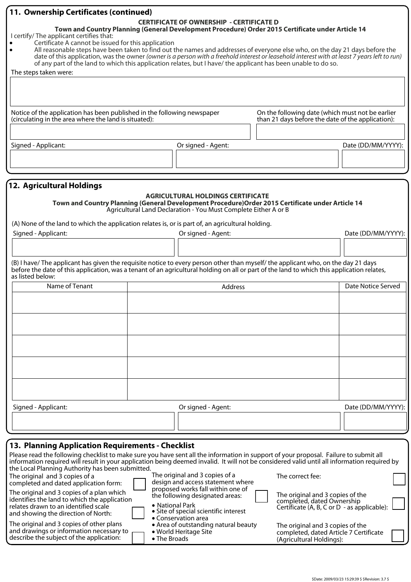| 11. Ownership Certificates (continued)                                                                                                                                                                                                                         |  |                                                                 |                                                                                                   |                    |  |
|----------------------------------------------------------------------------------------------------------------------------------------------------------------------------------------------------------------------------------------------------------------|--|-----------------------------------------------------------------|---------------------------------------------------------------------------------------------------|--------------------|--|
| <b>CERTIFICATE OF OWNERSHIP - CERTIFICATE D</b><br>Town and Country Planning (General Development Procedure) Order 2015 Certificate under Article 14                                                                                                           |  |                                                                 |                                                                                                   |                    |  |
| I certify/ The applicant certifies that:<br>Certificate A cannot be issued for this application                                                                                                                                                                |  |                                                                 |                                                                                                   |                    |  |
| All reasonable steps have been taken to find out the names and addresses of everyone else who, on the day 21 days before the<br>$\bullet$                                                                                                                      |  |                                                                 |                                                                                                   |                    |  |
| date of this application, was the owner (owner is a person with a freehold interest or leasehold interest with at least 7 years left to run)<br>of any part of the land to which this application relates, but I have/ the applicant has been unable to do so. |  |                                                                 |                                                                                                   |                    |  |
| The steps taken were:                                                                                                                                                                                                                                          |  |                                                                 |                                                                                                   |                    |  |
|                                                                                                                                                                                                                                                                |  |                                                                 |                                                                                                   |                    |  |
|                                                                                                                                                                                                                                                                |  |                                                                 |                                                                                                   |                    |  |
|                                                                                                                                                                                                                                                                |  |                                                                 |                                                                                                   |                    |  |
| Notice of the application has been published in the following newspaper                                                                                                                                                                                        |  |                                                                 | On the following date (which must not be earlier                                                  |                    |  |
| (circulating in the area where the land is situated):                                                                                                                                                                                                          |  |                                                                 | than 21 days before the date of the application):                                                 |                    |  |
|                                                                                                                                                                                                                                                                |  |                                                                 |                                                                                                   |                    |  |
| Signed - Applicant:                                                                                                                                                                                                                                            |  | Or signed - Agent:                                              |                                                                                                   | Date (DD/MM/YYYY): |  |
|                                                                                                                                                                                                                                                                |  |                                                                 |                                                                                                   |                    |  |
|                                                                                                                                                                                                                                                                |  |                                                                 |                                                                                                   |                    |  |
|                                                                                                                                                                                                                                                                |  |                                                                 |                                                                                                   |                    |  |
| 12. Agricultural Holdings                                                                                                                                                                                                                                      |  |                                                                 |                                                                                                   |                    |  |
|                                                                                                                                                                                                                                                                |  | <b>AGRICULTURAL HOLDINGS CERTIFICATE</b>                        | Town and Country Planning (General Development Procedure) Order 2015 Certificate under Article 14 |                    |  |
|                                                                                                                                                                                                                                                                |  | Agricultural Land Declaration - You Must Complete Either A or B |                                                                                                   |                    |  |
| (A) None of the land to which the application relates is, or is part of, an agricultural holding.                                                                                                                                                              |  |                                                                 |                                                                                                   |                    |  |
| Signed - Applicant:                                                                                                                                                                                                                                            |  | Or signed - Agent:                                              |                                                                                                   | Date (DD/MM/YYYY): |  |
|                                                                                                                                                                                                                                                                |  |                                                                 |                                                                                                   |                    |  |
|                                                                                                                                                                                                                                                                |  |                                                                 |                                                                                                   |                    |  |
| (B) I have/The applicant has given the requisite notice to every person other than myself/the applicant who, on the day 21 days                                                                                                                                |  |                                                                 |                                                                                                   |                    |  |
| before the date of this application, was a tenant of an agricultural holding on all or part of the land to which this application relates,<br>as listed below:                                                                                                 |  |                                                                 |                                                                                                   |                    |  |
| Name of Tenant                                                                                                                                                                                                                                                 |  | Address                                                         |                                                                                                   | Date Notice Served |  |
|                                                                                                                                                                                                                                                                |  |                                                                 |                                                                                                   |                    |  |
|                                                                                                                                                                                                                                                                |  |                                                                 |                                                                                                   |                    |  |
|                                                                                                                                                                                                                                                                |  |                                                                 |                                                                                                   |                    |  |
|                                                                                                                                                                                                                                                                |  |                                                                 |                                                                                                   |                    |  |
|                                                                                                                                                                                                                                                                |  |                                                                 |                                                                                                   |                    |  |
|                                                                                                                                                                                                                                                                |  |                                                                 |                                                                                                   |                    |  |
|                                                                                                                                                                                                                                                                |  |                                                                 |                                                                                                   |                    |  |
|                                                                                                                                                                                                                                                                |  |                                                                 |                                                                                                   |                    |  |
|                                                                                                                                                                                                                                                                |  |                                                                 |                                                                                                   |                    |  |
|                                                                                                                                                                                                                                                                |  |                                                                 |                                                                                                   |                    |  |
|                                                                                                                                                                                                                                                                |  |                                                                 |                                                                                                   |                    |  |
| Signed - Applicant:                                                                                                                                                                                                                                            |  | Or signed - Agent:                                              |                                                                                                   | Date (DD/MM/YYYY): |  |
|                                                                                                                                                                                                                                                                |  |                                                                 |                                                                                                   |                    |  |
|                                                                                                                                                                                                                                                                |  |                                                                 |                                                                                                   |                    |  |
| 13. Planning Application Requirements - Checklist                                                                                                                                                                                                              |  |                                                                 |                                                                                                   |                    |  |
| Please read the following checklist to make sure you have sent all the information in support of your proposal. Failure to submit all                                                                                                                          |  |                                                                 |                                                                                                   |                    |  |
| information required will result in your application being deemed invalid. It will not be considered valid until all information required by                                                                                                                   |  |                                                                 |                                                                                                   |                    |  |
| the Local Planning Authority has been submitted.<br>The original and 3 copies of a<br>The correct fee:<br>The original and 3 copies of a                                                                                                                       |  |                                                                 |                                                                                                   |                    |  |
| design and access statement where<br>completed and dated application form:<br>proposed works fall within one of                                                                                                                                                |  |                                                                 |                                                                                                   |                    |  |
| The original and 3 copies of a plan which<br>The original and 3 copies of the<br>the following designated areas:<br>identifies the land to which the application<br>completed, dated Ownership                                                                 |  |                                                                 |                                                                                                   |                    |  |

|  |  | • National Park |  |
|--|--|-----------------|--|
|  |  |                 |  |

The original and 3 copies of other plans and drawings or information necessary to describe the subject of the application:

relates drawn to an identified scale and showing the direction of North:

- **•** Site of special scientific interest
- Conservation area
- Area of outstanding natural beauty
- World Heritage Site
- The Broads

The original and 3 copies of the completed, dated Ownership Certificate (A, B, C or D - as applicable):

| The original and 3 copies of the       |  |
|----------------------------------------|--|
| completed, dated Article 7 Certificate |  |
| (Agricultural Holdings):               |  |